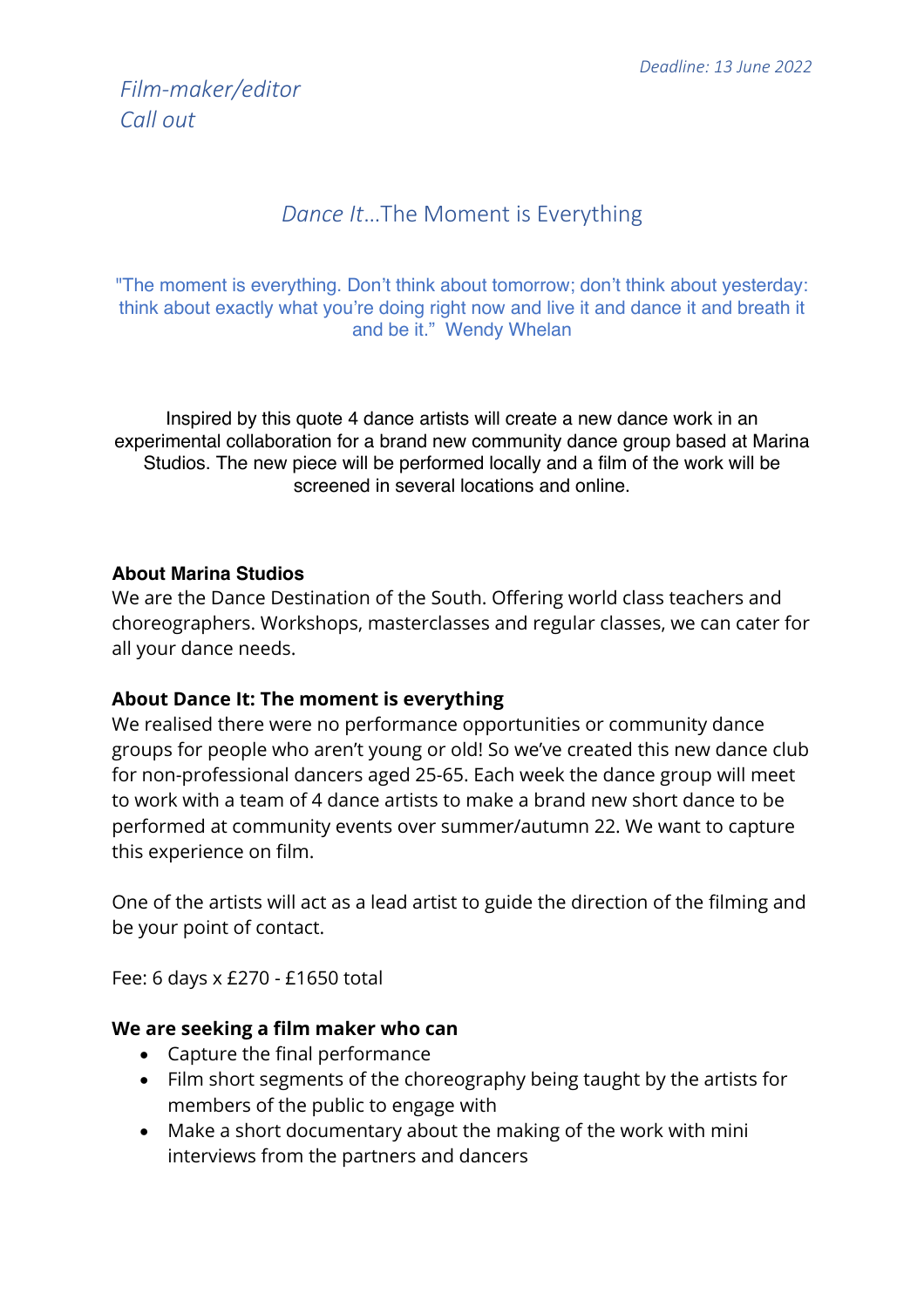# *Film-maker/editor Call out*

## *Dance It*…The Moment is Everything

"The moment is everything. Don't think about tomorrow; don't think about yesterday: think about exactly what you're doing right now and live it and dance it and breath it and be it." Wendy Whelan

Inspired by this quote 4 dance artists will create a new dance work in an experimental collaboration for a brand new community dance group based at Marina Studios. The new piece will be performed locally and a film of the work will be screened in several locations and online.

#### **About Marina Studios**

We are the Dance Destination of the South. Offering world class teachers and choreographers. Workshops, masterclasses and regular classes, we can cater for all your dance needs.

#### **About Dance It: The moment is everything**

We realised there were no performance opportunities or community dance groups for people who aren't young or old! So we've created this new dance club for non-professional dancers aged 25-65. Each week the dance group will meet to work with a team of 4 dance artists to make a brand new short dance to be performed at community events over summer/autumn 22. We want to capture this experience on film.

One of the artists will act as a lead artist to guide the direction of the filming and be your point of contact.

Fee: 6 days x £270 - £1650 total

#### **We are seeking a film maker who can**

- Capture the final performance
- Film short segments of the choreography being taught by the artists for members of the public to engage with
- Make a short documentary about the making of the work with mini interviews from the partners and dancers